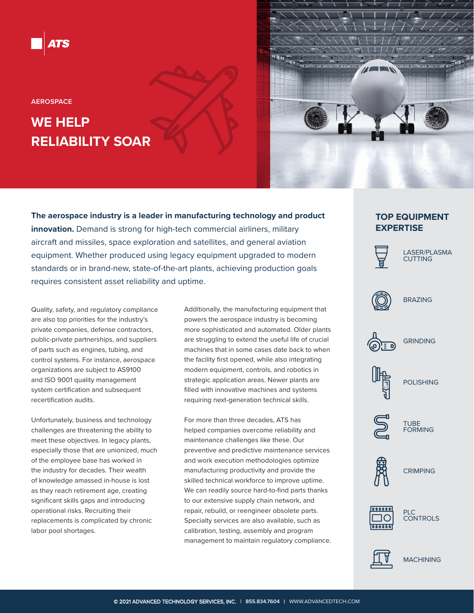**AEROSPACE**

# **WE HELP RELIABILITY SOAR**

**The aerospace industry is a leader in manufacturing technology and product innovation.** Demand is strong for high-tech commercial airliners, military aircraft and missiles, space exploration and satellites, and general aviation equipment. Whether produced using legacy equipment upgraded to modern standards or in brand-new, state-of-the-art plants, achieving production goals requires consistent asset reliability and uptime.

Quality, safety, and regulatory compliance are also top priorities for the industry's private companies, defense contractors, public-private partnerships, and suppliers of parts such as engines, tubing, and control systems. For instance, aerospace organizations are subject to AS9100 and ISO 9001 quality management system certification and subsequent recertification audits.

Unfortunately, business and technology challenges are threatening the ability to meet these objectives. In legacy plants, especially those that are unionized, much of the employee base has worked in the industry for decades. Their wealth of knowledge amassed in-house is lost as they reach retirement age, creating significant skills gaps and introducing operational risks. Recruiting their replacements is complicated by chronic labor pool shortages.

Additionally, the manufacturing equipment that powers the aerospace industry is becoming more sophisticated and automated. Older plants are struggling to extend the useful life of crucial machines that in some cases date back to when the facility first opened, while also integrating modern equipment, controls, and robotics in strategic application areas. Newer plants are filled with innovative machines and systems requiring next-generation technical skills.

For more than three decades, ATS has helped companies overcome reliability and maintenance challenges like these. Our preventive and predictive maintenance services and work execution methodologies optimize manufacturing productivity and provide the skilled technical workforce to improve uptime. We can readily source hard-to-find parts thanks to our extensive supply chain network, and repair, rebuild, or reengineer obsolete parts. Specialty services are also available, such as calibration, testing, assembly and program management to maintain regulatory compliance.

## **TOP EQUIPMENT EXPERTISE**



 $\sqrt{1}$ 

LASER/PLASMA CUTTING



BRAZING



GRINDING



POLISHING



TUBE FORMING



**CRIMPING** 







**MACHINING**